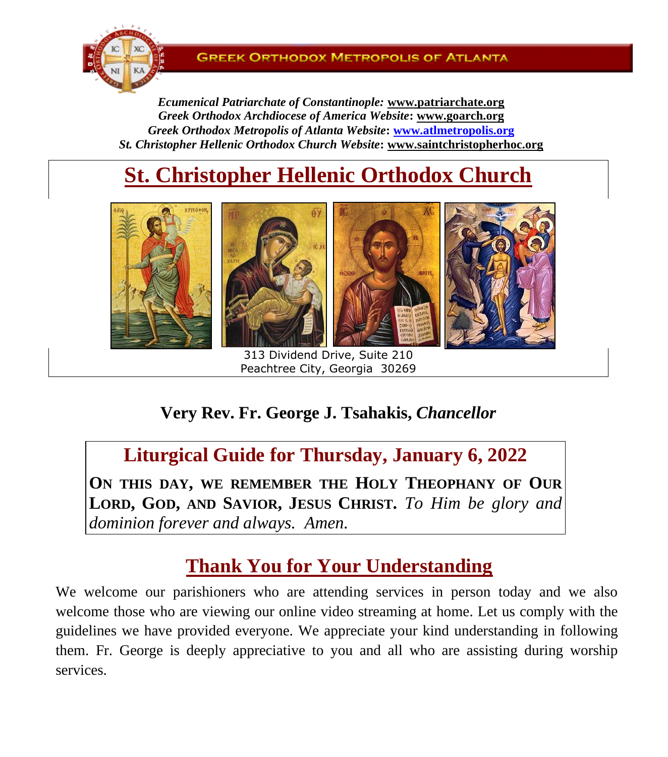

*Ecumenical Patriarchate of Constantinople:* **www.patriarchate.org** *Greek Orthodox Archdiocese of America Website***: www.goarch.org** *Greek Orthodox Metropolis of Atlanta Website***: [www.atlmetropolis.org](http://www.atlmetropolis.org/)** *St. Christopher Hellenic Orthodox Church Website***: [www.saintchristopherhoc.org](http://www.saintchristopherhoc.org/)**

# **St. Christopher Hellenic Orthodox Church**



313 Dividend Drive, Suite 210 Peachtree City, Georgia 30269

### **Very Rev. Fr. George J. Tsahakis,** *Chancellor*

**Liturgical Guide for Thursday, January 6, 2022**

**ON THIS DAY, WE REMEMBER THE HOLY THEOPHANY OF OUR LORD, GOD, AND SAVIOR, JESUS CHRIST.** *To Him be glory and dominion forever and always. Amen.*

### **Thank You for Your Understanding**

We welcome our parishioners who are attending services in person today and we also welcome those who are viewing our online video streaming at home. Let us comply with the guidelines we have provided everyone. We appreciate your kind understanding in following them. Fr. George is deeply appreciative to you and all who are assisting during worship services.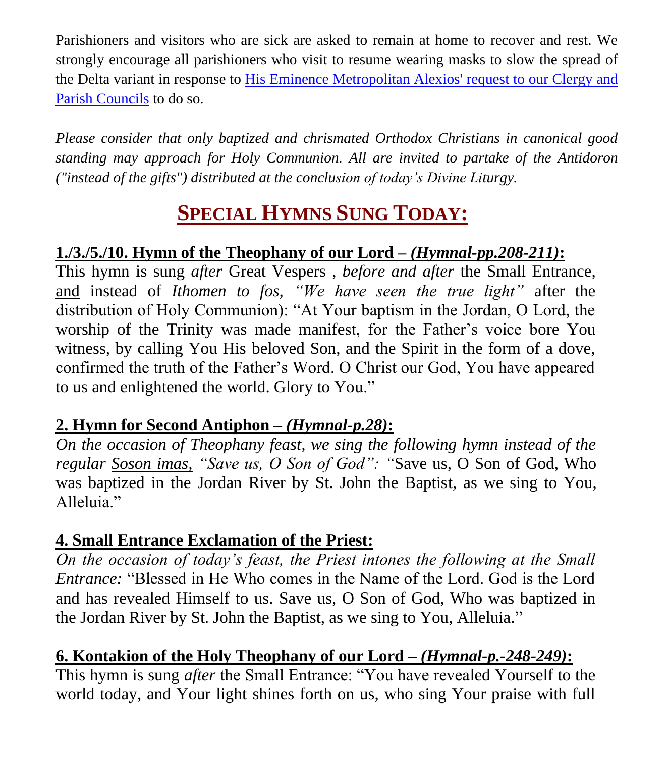Parishioners and visitors who are sick are asked to remain at home to recover and rest. We strongly encourage all parishioners who visit to resume wearing masks to slow the spread of the Delta variant in response to [His Eminence Metropolitan Alexios' request to our Clergy and](https://12343.sites.sheenomo.com/news/concerning-masks-in-our-parishes-august-19)  [Parish Councils](https://12343.sites.sheenomo.com/news/concerning-masks-in-our-parishes-august-19) to do so.

*Please consider that only baptized and chrismated Orthodox Christians in canonical good standing may approach for Holy Communion. All are invited to partake of the Antidoron ("instead of the gifts") distributed at the conclusion of today's Divine Liturgy.*

## **SPECIAL HYMNS SUNG TODAY:**

### **1./3./5./10. Hymn of the Theophany of our Lord –** *(Hymnal-pp.208-211)***:**

This hymn is sung *after* Great Vespers , *before and after* the Small Entrance, and instead of *Ithomen to fos, "We have seen the true light"* after the distribution of Holy Communion): "At Your baptism in the Jordan, O Lord, the worship of the Trinity was made manifest, for the Father's voice bore You witness, by calling You His beloved Son, and the Spirit in the form of a dove, confirmed the truth of the Father's Word. O Christ our God, You have appeared to us and enlightened the world. Glory to You."

#### **2. Hymn for Second Antiphon –** *(Hymnal-p.28)***:**

*On the occasion of Theophany feast, we sing the following hymn instead of the regular Soson imas, "Save us, O Son of God": "*Save us, O Son of God, Who was baptized in the Jordan River by St. John the Baptist, as we sing to You, Alleluia."

#### **4. Small Entrance Exclamation of the Priest:**

*On the occasion of today's feast, the Priest intones the following at the Small Entrance:* "Blessed in He Who comes in the Name of the Lord. God is the Lord and has revealed Himself to us. Save us, O Son of God, Who was baptized in the Jordan River by St. John the Baptist, as we sing to You, Alleluia."

#### **6. Kontakion of the Holy Theophany of our Lord –** *(Hymnal-p.-248-249)***:**

This hymn is sung *after* the Small Entrance: "You have revealed Yourself to the world today, and Your light shines forth on us, who sing Your praise with full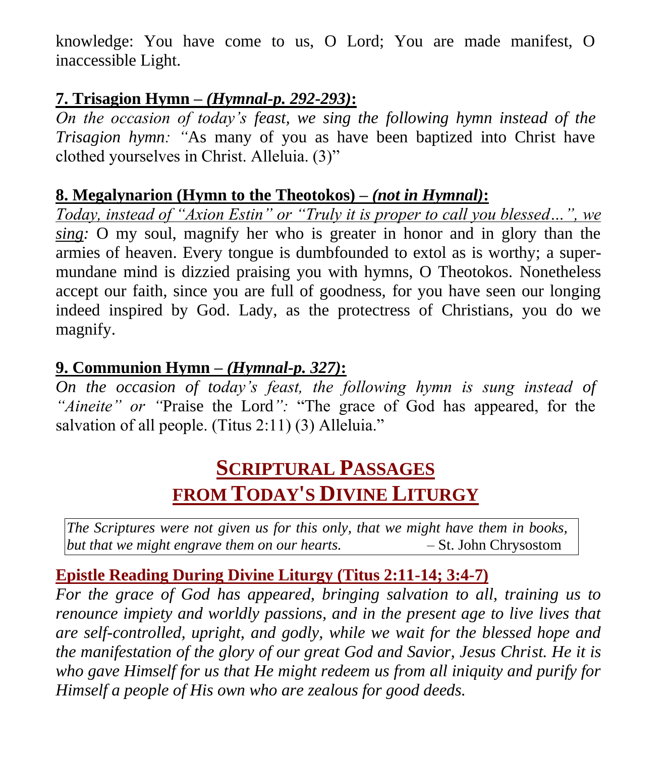knowledge: You have come to us, O Lord; You are made manifest, O inaccessible Light.

#### **7. Trisagion Hymn –** *(Hymnal-p. 292-293)***:**

*On the occasion of today's feast, we sing the following hymn instead of the Trisagion hymn: "*As many of you as have been baptized into Christ have clothed yourselves in Christ. Alleluia. (3)"

#### **8. Megalynarion (Hymn to the Theotokos) –** *(not in Hymnal)***:**

*Today, instead of "Axion Estin" or "Truly it is proper to call you blessed…", we sing:* O my soul, magnify her who is greater in honor and in glory than the armies of heaven. Every tongue is dumbfounded to extol as is worthy; a supermundane mind is dizzied praising you with hymns, O Theotokos. Nonetheless accept our faith, since you are full of goodness, for you have seen our longing indeed inspired by God. Lady, as the protectress of Christians, you do we magnify.

### **9. Communion Hymn –** *(Hymnal-p. 327)***:**

*On the occasion of today's feast, the following hymn is sung instead of "Aineite" or "*Praise the Lord*":* "The grace of God has appeared, for the salvation of all people. (Titus 2:11) (3) Alleluia."

## **SCRIPTURAL PASSAGES FROM TODAY'S DIVINE LITURGY**

*The Scriptures were not given us for this only, that we might have them in books, but that we might engrave them on our hearts.* – St. John Chrysostom

### **Epistle Reading During Divine Liturgy (Titus 2:11-14; 3:4-7)**

*For the grace of God has appeared, bringing salvation to all, training us to renounce impiety and worldly passions, and in the present age to live lives that are self-controlled, upright, and godly, while we wait for the blessed hope and the manifestation of the glory of our great God and Savior, Jesus Christ. He it is who gave Himself for us that He might redeem us from all iniquity and purify for Himself a people of His own who are zealous for good deeds.*